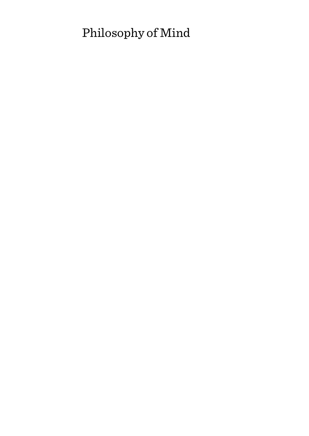# Philosophy of Mind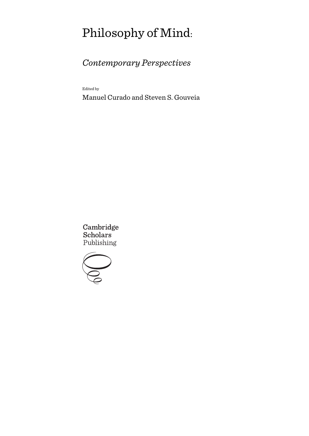# Philosophy of Mind:

# *Contemporary Perspectives*

Edited by

Manuel Curado and Steven S. Gouveia

Cambridge **Scholars** Publishing

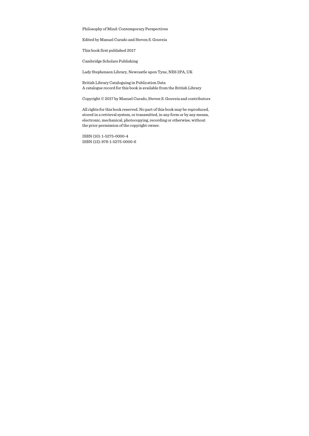Philosophy of Mind: Contemporary Perspectives

Edited by Manuel Curado and Steven S. Gouveia

This book first published 2017

Cambridge Scholars Publishing

Lady Stephenson Library, Newcastle upon Tyne, NE6 2PA, UK

British Library Cataloguing in Publication Data A catalogue record for this book is available from the British Library

Copyright © 2017 by Manuel Curado, Steven S. Gouveia and contributors

All rights for this book reserved. No part of this book may be reproduced, stored in a retrieval system, or transmitted, in any form or by any means, electronic, mechanical, photocopying, recording or otherwise, without the prior permission of the copyright owner.

ISBN (10): 1-5275-0000-4 ISBN (13): 978-1-5275-0000-6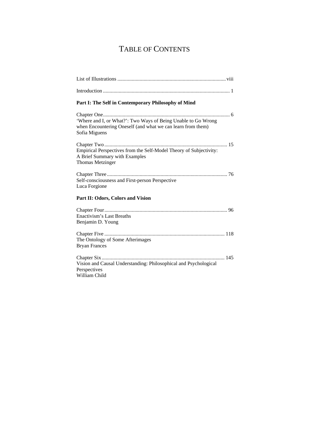# TABLE OF CONTENTS

| Part I: The Self in Contemporary Philosophy of Mind                                                                                           |  |  |
|-----------------------------------------------------------------------------------------------------------------------------------------------|--|--|
| 'Where and I, or What?': Two Ways of Being Unable to Go Wrong<br>when Encountering Oneself (and what we can learn from them)<br>Sofia Miguens |  |  |
| Empirical Perspectives from the Self-Model Theory of Subjectivity:<br>A Brief Summary with Examples<br><b>Thomas Metzinger</b>                |  |  |
| Self-consciousness and First-person Perspective<br>Luca Forgione                                                                              |  |  |
| Part II: Odors, Colors and Vision                                                                                                             |  |  |
| Enactivism's Last Breaths<br>Benjamin D. Young                                                                                                |  |  |
| The Ontology of Some Afterimages<br><b>Bryan Frances</b>                                                                                      |  |  |
| 145<br>Vision and Causal Understanding: Philosophical and Psychological<br>Perspectives<br>William Child                                      |  |  |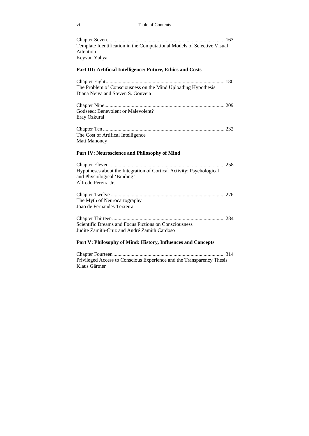#### vi Table of Contents

| Template Identification in the Computational Models of Selective Visual<br>Attention                                       |     |
|----------------------------------------------------------------------------------------------------------------------------|-----|
| Keyvan Yahya                                                                                                               |     |
| Part III: Artificial Intelligence: Future, Ethics and Costs                                                                |     |
| The Problem of Consciousness on the Mind Uploading Hypothesis<br>Diana Neiva and Steven S. Gouveia                         |     |
| Godseed: Benevolent or Malevolent?<br>Eray Özkural                                                                         |     |
| The Cost of Artifical Intelligence<br><b>Matt Mahoney</b>                                                                  |     |
| Part IV: Neuroscience and Philosophy of Mind                                                                               |     |
| Hypotheses about the Integration of Cortical Activity: Psychological<br>and Physiological 'Binding'<br>Alfredo Pereira Jr. |     |
| The Myth of Neurocartography<br>João de Fernandes Teixeira                                                                 |     |
| Scientific Dreams and Focus Fictions on Consciousness<br>Judite Zamith-Cruz and André Zamith Cardoso                       |     |
| Part V: Philosophy of Mind: History, Influences and Concepts                                                               |     |
| $C1$ and an $\Gamma$ accuracy                                                                                              | 211 |

Chapter Fourteen ..................................................................................... 314 Privileged Access to Conscious Experience and the Transparency Thesis Klaus Gärtner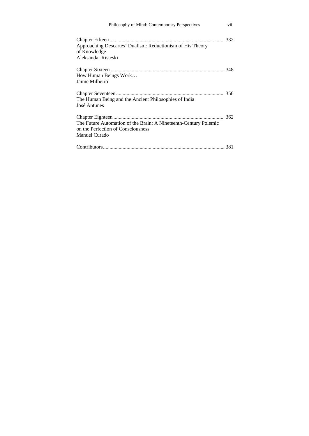| Philosophy of Mind: Contemporary Perspectives                                                                           | vii |
|-------------------------------------------------------------------------------------------------------------------------|-----|
| Approaching Descartes' Dualism: Reductionism of His Theory<br>of Knowledge<br>Aleksandar Risteski                       |     |
| How Human Beings Work<br>Jaime Milheiro                                                                                 |     |
| The Human Being and the Ancient Philosophies of India<br>José Antunes                                                   |     |
| The Future Automation of the Brain: A Nineteenth-Century Polemic<br>on the Perfection of Consciousness<br>Manuel Curado |     |
|                                                                                                                         |     |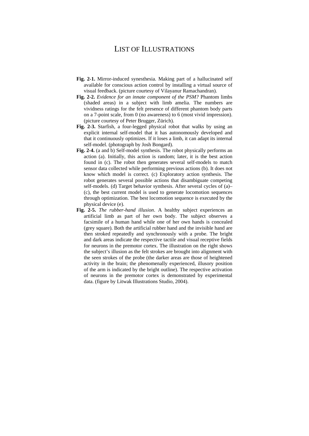### LIST OF ILLUSTRATIONS

- **Fig. 2-1.** Mirror-induced synesthesia. Making part of a hallucinated self available for conscious action control by installing a virtual source of visual feedback. (picture courtesy of Vilayanur Ramachandran).
- **Fig. 2-2.** *Evidence for an innate component of the PSM?* Phantom limbs (shaded areas) in a subject with limb amelia. The numbers are vividness ratings for the felt presence of different phantom body parts on a 7-point scale, from 0 (no awareness) to 6 (most vivid impression). (picture courtesy of Peter Brugger, Zürich).
- **Fig. 2-3.** Starfish, a four-legged physical robot that walks by using an explicit internal self-model that it has autonomously developed and that it continuously optimizes. If it loses a limb, it can adapt its internal self-model. (photograph by Josh Bongard).
- **Fig. 2-4.** (a and b) Self-model synthesis. The robot physically performs an action (a). Initially, this action is random; later, it is the best action found in (c). The robot then generates several self-models to match sensor data collected while performing previous actions (b). It does not know which model is correct. (c) Exploratory action synthesis. The robot generates several possible actions that disambiguate competing self-models. (d) Target behavior synthesis. After several cycles of (a)– (c), the best current model is used to generate locomotion sequences through optimization. The best locomotion sequence is executed by the physical device (e).
- **Fig. 2-5.** *The rubber-hand illusion*. A healthy subject experiences an artificial limb as part of her own body. The subject observes a facsimile of a human hand while one of her own hands is concealed (grey square). Both the artificial rubber hand and the invisible hand are then stroked repeatedly and synchronously with a probe. The bright and dark areas indicate the respective tactile and visual receptive fields for neurons in the premotor cortex. The illustration on the right shows the subject's illusion as the felt strokes are brought into alignment with the seen strokes of the probe (the darker areas are those of heightened activity in the brain; the phenomenally experienced, illusory position of the arm is indicated by the bright outline). The respective activation of neurons in the premotor cortex is demonstrated by experimental data. (figure by Litwak Illustrations Studio, 2004).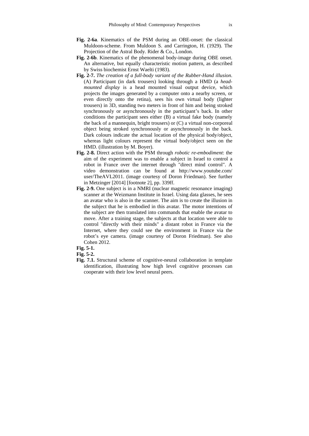- **Fig. 2-6a**. Kinematics of the PSM during an OBE-onset: the classical Muldoon-scheme. From Muldoon S. and Carrington, H. (1929). The Projection of the Astral Body. Rider & Co., London.
- **Fig. 2-6b**. Kinematics of the phenomenal body-image during OBE onset. An alternative, but equally characteristic motion pattern, as described by Swiss biochemist Ernst Waelti (1983).
- **Fig. 2-7.** *The creation of a full-body variant of the Rubber-Hand illusion*. (A) Participant (in dark trousers) looking through a HMD (a *headmounted display* is a head mounted visual output device, which projects the images generated by a computer onto a nearby screen, or even directly onto the retina), sees his own virtual body (lighter trousers) in 3D, standing two meters in front of him and being stroked synchronously or asynchronously in the participant's back. In other conditions the participant sees either (B) a virtual fake body (namely the back of a mannequin, bright trousers) or (C) a virtual non-corporeal object being stroked synchronously or asynchronously in the back. Dark colours indicate the actual location of the physical body/object, whereas light colours represent the virtual body/object seen on the HMD. (illustration by M. Boyer).
- **Fig. 2-8.** Direct action with the PSM through *robotic re-embodiment*: the aim of the experiment was to enable a subject in Israel to control a robot in France over the internet through "direct mind control". A video demonstration can be found at http://www.youtube.com/ user/TheAVL2011. (image courtesy of Doron Friedman). See further in Metzinger [2014] [footnote 2], pp. 339ff.
- **Fig. 2-9.** One subject is in a NMRI (nuclear magnetic resonance imaging) scanner at the Weizmann Institute in Israel. Using data glasses, he sees an avatar who is also in the scanner. The aim is to create the illusion in the subject that he is embodied in this avatar. The motor intentions of the subject are then translated into commands that enable the avatar to move. After a training stage, the subjects at that location were able to control "directly with their minds" a distant robot in France via the Internet, where they could see the environment in France via the robot's eye camera. (image courtesy of Doron Friedman). See also Cohen 2012.

#### **Fig. 5-1.**

#### **Fig. 5-2.**

**Fig. 7.1.** Structural scheme of cognitive-neural collaboration in template identification, illustrating how high level cognitive processes can cooperate with their low level neural peers.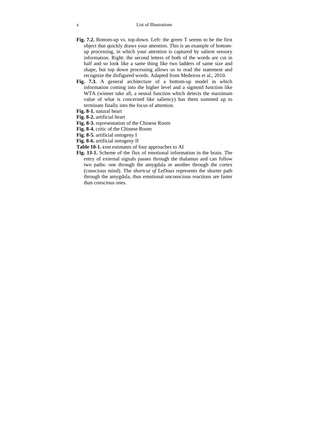- **Fig. 7.2.** Bottom-up vs. top-down. Left: the green T seems to be the first object that quickly draws your attention. This is an example of bottomup processing, in which your attention is captured by salient sensory information. Right: the second letters of both of the words are cut in half and so look like a same thing like two ladders of same size and shape, but top down processing allows us to read the statement and recognize the disfigured words. Adapted from Medeiros et al., 2010.
- **Fig. 7.3.** A general architecture of a bottom-up model in which information coming into the higher level and a sigmoid function like WTA (winner take all, a neural function which detects the maximum value of what is concerned like saliency) has them summed up to terminate finally into the focus of attention.
- **Fig. 8-1.** natural heart
- **Fig. 8-2.** artificial heart
- **Fig. 8-3.** representation of the Chinese Room
- **Fig. 8-4.** critic of the Chinese Room
- **Fig. 8-5.** artificial ontogeny I
- **Fig. 8-6.** artificial ontogeny II
- **Table 10-1. c**ost estimates of four approaches to AI
- **Fig. 13-1.** Scheme of the flux of emotional information in the brain. The entry of external signals passes through the thalamus and can follow two paths: one through the amygdala or another through the cortex (conscious mind). The *shortcut of LeDoux* represents the shorter path through the amygdala, thus emotional unconscious reactions are faster than conscious ones.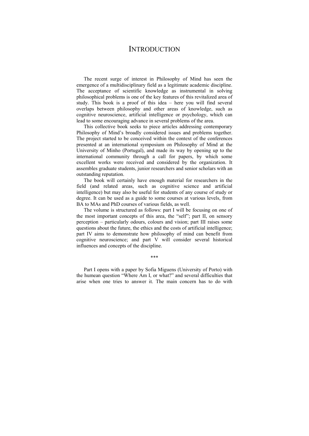### **INTRODUCTION**

The recent surge of interest in Philosophy of Mind has seen the emergence of a multidisciplinary field as a legitimate academic discipline. The acceptance of scientific knowledge as instrumental in solving philosophical problems is one of the key features of this revitalized area of study. This book is a proof of this idea – here you will find several overlaps between philosophy and other areas of knowledge, such as cognitive neuroscience, artificial intelligence or psychology, which can lead to some encouraging advance in several problems of the area.

This collective book seeks to piece articles addressing contemporary Philosophy of Mind's broadly considered issues and problems together. The project started to be conceived within the context of the conferences presented at an international symposium on Philosophy of Mind at the University of Minho (Portugal), and made its way by opening up to the international community through a call for papers, by which some excellent works were received and considered by the organization. It assembles graduate students, junior researchers and senior scholars with an outstanding reputation.

The book will certainly have enough material for researchers in the field (and related areas, such as cognitive science and artificial intelligence) but may also be useful for students of any course of study or degree. It can be used as a guide to some courses at various levels, from BA to MAs and PhD courses of various fields, as well.

The volume is structured as follows: part I will be focusing on one of the most important concepts of this area, the "self"; part II, on sensory perception – particularly odours, colours and vision; part III raises some questions about the future, the ethics and the costs of artificial intelligence; part IV aims to demonstrate how philosophy of mind can benefit from cognitive neuroscience; and part V will consider several historical influences and concepts of the discipline.

\*\*\*

Part I opens with a paper by Sofia Miguens (University of Porto) with the humean question "Where Am I, or what?" and several difficulties that arise when one tries to answer it. The main concern has to do with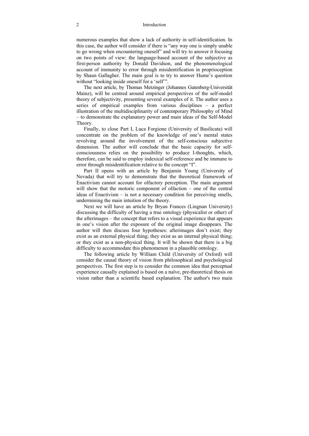#### 2 Introduction

numerous examples that show a lack of authority in self-identification. In this case, the author will consider if there is "any way one is simply unable to go wrong when encountering oneself" and will try to answer it focusing on two points of view: the language-based account of the subjective as first-person authority by Donald Davidson, and the phenomenological account of immunity to error through misidentification in proprioception by Shaun Gallagher. The main goal is to try to answer Hume's question without "looking inside oneself for a 'self".

The next article, by Thomas Metzinger (Johannes Gutenberg-Universität Mainz), will be centred around empirical perspectives of the self-model theory of subjectivity, presenting several examples of it. The author uses a series of empirical examples from various disciplines – a perfect illustration of the multidisciplinarity of contemporary Philosophy of Mind – to demonstrate the explanatory power and main ideas of the Self-Model Theory.

Finally, to close Part I, Luca Forgione (University of Basilicata) will concentrate on the problem of the knowledge of one's mental states revolving around the involvement of the self-conscious subjective dimension. The author will conclude that the basic capacity for selfconsciousness relies on the possibility to produce I-thoughts, which, therefore, can be said to employ indexical self-reference and be immune to error through misidentification relative to the concept "I".

Part II opens with an article by Benjamin Young (University of Nevada) that will try to demonstrate that the theoretical framework of Enactivism cannot account for olfactory perception. The main argument will show that the motoric component of olfaction – one of the central ideas of Enactivism – is not a necessary condition for perceiving smells, undermining the main intuition of the theory.

Next we will have an article by Bryan Frances (Lingnan University) discussing the difficulty of having a true ontology (physicalist or other) of the afterimages – the concept that refers to a visual experience that appears in one's vision after the exposure of the original image disappears. The author will then discuss four hypotheses: afterimages don't exist; they exist as an external physical thing; they exist as an internal physical thing; or they exist as a non-physical thing. It will be shown that there is a big difficulty to accommodate this phenomenon in a plausible ontology.

The following article by William Child (University of Oxford) will consider the causal theory of vision from philosophical and psychological perspectives. The first step is to consider the common idea that perceptual experience causally explained is based on a naïve, pre-theoretical thesis on vision rather than a scientific based explanation. The author's two main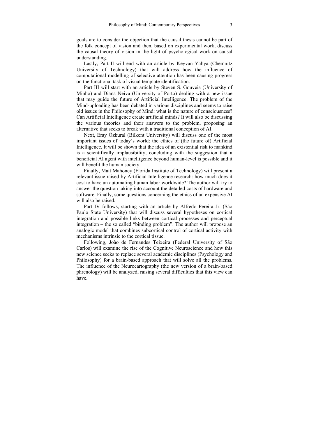goals are to consider the objection that the causal thesis cannot be part of the folk concept of vision and then, based on experimental work, discuss the causal theory of vision in the light of psychological work on causal understanding.

Lastly, Part II will end with an article by Keyvan Yahya (Chemnitz University of Technology) that will address how the influence of computational modelling of selective attention has been causing progress on the functional task of visual template identification.

Part III will start with an article by Steven S. Gouveia (University of Minho) and Diana Neiva (University of Porto) dealing with a new issue that may guide the future of Artificial Intelligence. The problem of the Mind-uploading has been debated in various disciplines and seems to raise old issues in the Philosophy of Mind: what is the nature of consciousness? Can Artificial Intelligence create artificial minds? It will also be discussing the various theories and their answers to the problem, proposing an alternative that seeks to break with a traditional conception of AI.

Next, Eray Özkural (Bilkent University) will discuss one of the most important issues of today's world: the ethics of (the future of) Artificial Intelligence. It will be shown that the idea of an existential risk to mankind is a scientifically implausibility, concluding with the suggestion that a beneficial AI agent with intelligence beyond human-level is possible and it will benefit the human society.

Finally, Matt Mahoney (Florida Institute of Technology) will present a relevant issue raised by Artificial Intelligence research: how much does it cost to have an automating human labor worldwide? The author will try to answer the question taking into account the detailed costs of hardware and software. Finally, some questions concerning the ethics of an expensive AI will also be raised.

Part IV follows, starting with an article by Alfredo Pereira Jr. (São Paulo State University) that will discuss several hypotheses on cortical integration and possible links between cortical processes and perceptual integration – the so called "binding problem". The author will propose an analogic model that combines subcortical control of cortical activity with mechanisms intrinsic to the cortical tissue.

Following, João de Fernandes Teixeira (Federal University of São Carlos) will examine the rise of the Cognitive Neuroscience and how this new science seeks to replace several academic disciplines (Psychology and Philosophy) for a brain-based approach that will solve all the problems. The influence of the Neurocartography (the new version of a brain-based phrenology) will be analyzed, raising several difficulties that this view can have.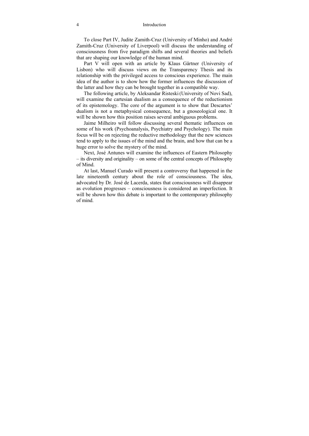To close Part IV, Judite Zamith-Cruz (University of Minho) and André Zamith-Cruz (University of Liverpool) will discuss the understanding of consciousness from five paradigm shifts and several theories and beliefs that are shaping our knowledge of the human mind.

Part V will open with an article by Klaus Gärtner (University of Lisbon) who will discuss views on the Transparency Thesis and its relationship with the privileged access to conscious experience. The main idea of the author is to show how the former influences the discussion of the latter and how they can be brought together in a compatible way.

The following article, by Aleksandar Risteski(University of Novi Sad), will examine the cartesian dualism as a consequence of the reductionism of its epistemology. The core of the argument is to show that Descartes' dualism is not a metaphysical consequence, but a gnoseological one. It will be shown how this position raises several ambiguous problems.

Jaime Milheiro will follow discussing several thematic influences on some of his work (Psychoanalysis, Psychiatry and Psychology). The main focus will be on rejecting the reductive methodology that the new sciences tend to apply to the issues of the mind and the brain, and how that can be a huge error to solve the mystery of the mind.

Next, José Antunes will examine the influences of Eastern Philosophy – its diversity and originality – on some of the central concepts of Philosophy of Mind.

At last, Manuel Curado will present a controversy that happened in the late nineteenth century about the role of consciousness. The idea, advocated by Dr. José de Lacerda, states that consciousness will disappear as evolution progresses – consciousness is considered an imperfection. It will be shown how this debate is important to the contemporary philosophy of mind.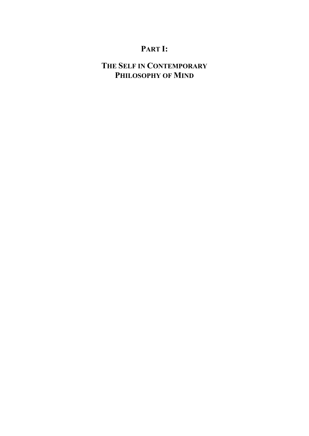# **PART I:**

# **THE SELF IN CONTEMPORARY PHILOSOPHY OF MIND**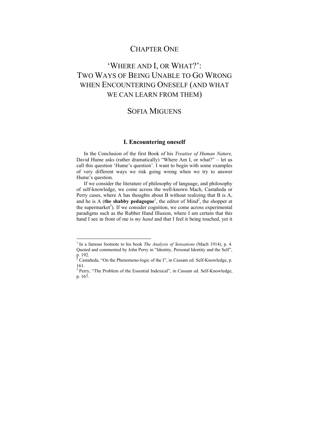## CHAPTER ONE

# 'WHERE AND I, OR WHAT?': TWO WAYS OF BEING UNABLE TO GO WRONG WHEN ENCOUNTERING ONESELF (AND WHAT WE CAN LEARN FROM THEM)

### SOFIA MIGUENS

#### **I. Encountering oneself**

In the Conclusion of the first Book of his *Treatise of Human Nature,* David Hume asks (rather dramatically) "Where Am I, or what?" – let us call this question 'Hume's question'. I want to begin with some examples of very different ways we risk going wrong when we try to answer Hume's question.

If we consider the literature of philosophy of language, and philosophy of self-knowledge, we come across the well-known Mach, Castañeda or Perry cases, where A has thoughts about B without realizing that B is A, and he is A (**the shabby pedagogue**<sup>1</sup>, the editor of Mind<sup>2</sup>, the shopper at the supermarket<sup>3</sup>). If we consider cognition, we come across experimental paradigms such as the Rubber Hand Illusion, where I am certain that this hand I see in front of me is *my hand* and that I feel it being touched, yet it

 1 In a famous footnote to his book *The Analysis of Sensations* (Mach 1914), p. 4. Quoted and commented by John Perry in "Identity, Personal Identity and the Self", p. 192.

<sup>&</sup>lt;sup>2</sup> Castañeda, "On the Phenomeno-logic of the I", in Cassam ed. Self-Knowledge, p. 161.

<sup>&</sup>lt;sup>3</sup> Perry, "The Problem of the Essential Indexical", in Cassam ed. Self-Knowledge, p. 167.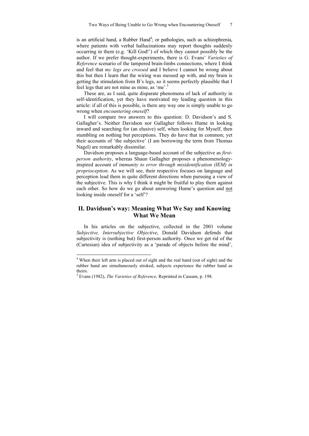is an artificial hand, a Rubber Hand<sup>4</sup>; or pathologies, such as schizophrenia, where patients with verbal hallucinations may report thoughts suddenly occurring in them (e.g. 'Kill God!') of which they cannot possibly be the author. If we prefer thought-experiments, there is G. Evans' *Varieties of Reference* scenario of the tampered brain-limbs connections, where I think and feel that *my legs are crossed* and I believe I cannot be wrong about this but then I learn that the wiring was messed up with, and my brain is getting the stimulation from B's legs, so it seems perfectly plausible that I feel legs that are not mine as mine, as 'me'.<sup>5</sup>

These are, as I said, quite disparate phenomena of lack of authority in self-identification, yet they have motivated my leading question in this article: if all of this is possible, is there any way one is simply unable to go wrong when *encountering oneself*?

I will compare two answers to this question: D. Davidson's and S. Gallagher's. Neither Davidson nor Gallagher follows Hume in looking inward and searching for (an elusive) self, when looking for Myself, then stumbling on nothing but perceptions. They do have that in common; yet their accounts of 'the subjective' (I am borrowing the term from Thomas Nagel) are remarkably dissimilar.

Davidson proposes a language-based account of the subjective as *firstperson authority*, whereas Shaun Gallagher proposes a phenomenologyinspired account of *immunity to error through misidentification (IEM) in proprioception*. As we will see, their respective focuses on language and perception lead them in quite different directions when pursuing a view of the subjective. This is why I think it might be fruitful to play them against each other. So how do we go about answering Hume's question and not looking inside oneself for a 'self'?

### **II. Davidson's way: Meaning What We Say and Knowing What We Mean**

In his articles on the subjective, collected in the 2001 volume *Subjective, Intersubjective Objective*, Donald Davidson defends that subjectivity is (nothing but) first-person authority. Once we get rid of the (Cartesian) idea of subjectivity as a 'parade of objects before the mind',

 4 When their left arm is placed out of sight and the real hand (out of sight) and the rubber hand are simultaneously stroked, subjects experience the rubber hand as theirs.

<sup>5</sup> Evans (1982), *The Varieties of Reference,* Reprinted in Cassam, p. 198.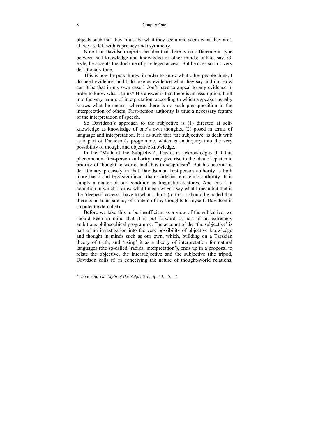objects such that they 'must be what they seem and seem what they are', all we are left with is privacy and asymmetry.

Note that Davidson rejects the idea that there is no difference in type between self-knowledge and knowledge of other minds; unlike, say, G. Ryle, he accepts the doctrine of privileged access. But he does so in a very deflationary tone.

This is how he puts things: in order to know what other people think, I do need evidence, and I do take as evidence what they say and do. How can it be that in my own case I don't have to appeal to any evidence in order to know what I think? His answer is that there is an assumption, built into the very nature of interpretation, according to which a speaker usually knows what he means, whereas there is no such presupposition in the interpretation of others. First-person authority is thus a necessary feature of the interpretation of speech.

So Davidson's approach to the subjective is (1) directed at selfknowledge as knowledge of one's own thoughts, (2) posed in terms of language and interpretation. It is as such that 'the subjective' is dealt with as a part of Davidson's programme, which is an inquiry into the very possibility of thought and objective knowledge.

In the "Myth of the Subjective", Davidson acknowledges that this phenomenon, first-person authority, may give rise to the idea of epistemic priority of thought to world, and thus to scepticism<sup>6</sup>. But his account is deflationary precisely in that Davidsonian first-person authority is both more basic and less significant than Cartesian epistemic authority. It is simply a matter of our condition as linguistic creatures. And this is a condition in which I know what I mean when I say what I mean but that is the 'deepest' access I have to what I think (to this it should be added that there is no transparency of content of my thoughts to myself: Davidson is a content externalist).

Before we take this to be insufficient as a view of the subjective, we should keep in mind that it is put forward as part of an extremely ambitious philosophical programme. The account of the 'the subjective' is part of an investigation into the very possibility of objective knowledge and thought in minds such as our own, which, building on a Tarskian theory of truth, and 'using' it as a theory of interpretation for natural languages (the so-called 'radical interpretation'), ends up in a proposal to relate the objective, the intersubjective and the subjective (the tripod, Davidson calls it) in conceiving the nature of thought-world relations.

<sup>6</sup> Davidson, *The Myth of the Subjective*, pp. 43, 45, 47.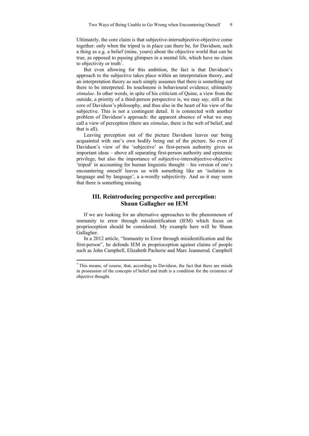Ultimately, the core claim is that subjective-intersubjective-objective come together: only when the tripod is in place can there be, for Davidson, such a thing as e.g. a belief (mine, yours) about the objective world that can be true, as opposed to passing glimpses in a mental life, which have no claim to objectivity or truth<sup>7</sup>.

But even allowing for this ambition, the fact is that Davidson's approach to the subjective takes place within an interpretation theory, and an interpretation theory as such simply assumes that there is something out there to be interpreted. Its touchstone is behavioural evidence; ultimately *stimulae*. In other words, in spite of his criticism of Quine, a view from the outside, a priority of a third-person perspective is, we may say, still at the core of Davidson's philosophy, and thus also in the heart of his view of the subjective. This is not a contingent detail. It is connected with another problem of Davidson's approach: the apparent absence of what we may call a view of perception (there are *stimulae*, there is the web of belief, and that is all).

Leaving perception out of the picture Davidson leaves our being acquainted with one's own bodily being out of the picture. So even if Davidson's view of the 'subjective' as first-person authority gives us important ideas – above all separating first-person authority and epistemic privilege, but also the importance of subjective-intersubjective-objective 'tripod' in accounting for human linguistic thought – his version of one's encountering oneself leaves us with something like an 'isolation in language and by language', a a-wordly subjectivity. And so it may seem that there is something missing.

### **III. Reintroducing perspective and perception: Shaun Gallagher on IEM**

If we are looking for an alternative approaches to the phenomenon of immunity to error through misidentification (IEM) which focus on proprioception should be considered. My example here will be Shaun Gallagher.

In a 2012 article, "Immunity to Error through misidentification and the first-person", he defends IEM in proprioception against claims of people such as John Campbell, Elizabeth Pacherie and Marc Jeannerod. Campbell

 $<sup>7</sup>$  This means, of course, that, according to Davidson, the fact that there are minds</sup> in possession of the concepts of belief and truth is a condition for the existence of objective thought.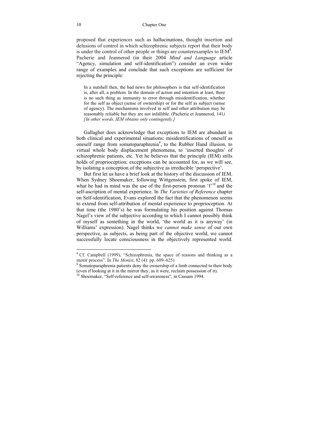proposed that experiences such as hallucinations, thought insertion and delusions of control in which schizophrenic subjects report that their body is under the control of other people or things are counterexamples to  $IEM<sup>8</sup>$ . Pacherie and Jeannerod (in their 2004 *Mind and Language* article "Agency, simulation and self-identification") consider an even wider range of examples and conclude that such exceptions are sufficient for rejecting the principle:

In a nutshell then, the bad news for philosophers is that self-identification is, after all, a problem. In the domain of action and intention at least, there is no such thing as immunity to error through misidentification, whether for the self as object (sense of ownership) or for the self as subject (sense of agency). The mechanisms involved in self and other attribution may be reasonably reliable but they are not infallible. (Pacherie et Jeannerod, 141*) [In other words, IEM obtains only contingently.]*

Gallagher does acknowledge that exceptions to IEM are abundant in both clinical and experimental situations: misidentifications of oneself as oneself range from somatoparaphrenia<sup>9</sup>, to the Rubber Hand illusion, to virtual whole body displacement phenomena, to 'inserted thoughts' of schizophrenic patients, etc. Yet he believes that the principle (IEM) stills holds of proprioception; exceptions can be accounted for, as we will see, by isolating a conception of the subjective as irreducible 'perspective'.

But first let us have a brief look at the history of the discussion of IEM. When Sydney Shoemaker, following Wittgenstein, first spoke of IEM, what he had in mind was the use of the first-person pronoun 'I'<sup>10</sup> and the self-ascription of mental experience. In *The Varieties of Reference* chapter on Self-identification, Evans explored the fact that the phenomenon seems to extend from self-attribution of mental experience to proprioception. At that time (the 1980's) he was formulating his position against Thomas Nagel's view of the subjective according to which I cannot possibly think of myself as something in the world, 'the world as it is anyway' (in Williams' expression). Nagel thinks we *cannot make sense* of our own perspective, as subjects, as being part of the objective world, we cannot successfully locate consciousness in the objectively represented world.

<sup>&</sup>lt;sup>8</sup> Cf. Campbell (1999), "Schizophrenia, the space of reasons and thinking as a motor process". In *The Monist*,  $\frac{82}{4}$ : pp. 609–625)

<sup>&</sup>lt;sup>9</sup> Somatoparaphrenia patients deny the ownership of a limb connected to their body (even if looking at it in the mirror they, as it were, reclaim possession of it).

 $\frac{10}{10}$  Shoemaker, "Self-reference and self-awareness", in Cassam 1994.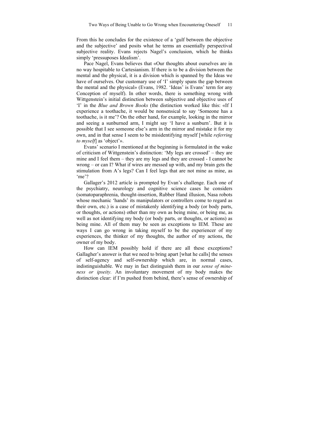From this he concludes for the existence of a 'gulf between the objective and the subjective' and posits what he terms an essentially perspectival subjective reality. Evans rejects Nagel's conclusion, which he thinks simply 'pressuposes Idealism'.

Pace Nagel, Evans believes that «Our thoughts about ourselves are in no way hospitable to Cartesianism. If there is to be a division between the mental and the physical, it is a division which is spanned by the Ideas we have of ourselves. Our customary use of 'I' simply spans the gap between the mental and the physical» (Evans, 1982. 'Ideas' is Evans' term for any Conception of myself). In other words, there is something wrong with Wittgenstein's initial distinction between subjective and objective uses of 'I' in the *Blue and Brown Books* (the distinction worked like this: «If I experience a toothache, it would be nonsensical to say 'Someone has a toothache, is it me'? On the other hand, for example, looking in the mirror and seeing a sunburned arm, I might say 'I have a sunburn'. But it is possible that I see someone else's arm in the mirror and mistake it for my own, and in that sense I seem to be misidentifying myself [while *referring to myself*] as 'object'».

Evans' scenario I mentioned at the beginning is formulated in the wake of criticism of Wittgenstein's distinction: 'My legs are crossed' – they are mine and I feel them – they are my legs and they are crossed - I cannot be wrong – or can I? What if wires are messed up with, and my brain gets the stimulation from A's legs? Can I feel legs that are not mine as mine, as 'me'?

Gallager's 2012 article is prompted by Evan's challenge. Each one of the psychiatry, neurology and cognitive science cases he considers (somatoparaphrenia, thought-insertion, Rubber Hand illusion, Nasa robots whose mechanic 'hands' its manipulators or controllers come to regard as their own, etc.) is a case of mistakenly identifying a body (or body parts, or thoughts, or actions) other than my own as being mine, or being me, as well as not identifying my body (or body parts, or thoughts, or actions) as being mine. All of them may be seen as exceptions to IEM. These are ways I can go wrong in taking myself to be the experiencer of my experiences, the thinker of my thoughts, the author of my actions, the owner of my body.

How can IEM possibly hold if there are all these exceptions? Gallagher's answer is that we need to bring apart [what he calls] the senses of self-agency and self-ownership which are, in normal cases, indistinguishable. We may in fact distinguish them in our *sense of mineness or ipseity.* An involuntary movement of my body makes the distinction clear: if I'm pushed from behind, there's sense of ownership of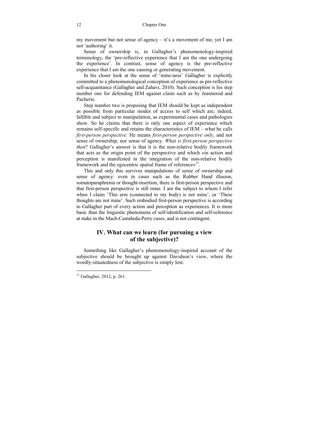my movement but not sense of agency – it's a movement of me, yet I am not 'authoring' it.

Sense of ownership is, in Gallagher's phenomenology-inspired terminology, the 'pre-reflective experience that  $\overline{I}$  am the one undergoing the experience'. In contrast, sense of agency is the pre-reflective experience that I am the one causing or generating movement.

In his closer look at the sense of 'mine-ness' Gallagher is explicitly committed to a phenomenological conception of experience as pre-reflective self-acquaintance (Gallagher and Zahavi, 2010). Such conception is his step number one for defending IEM against claim such as by Jeannerod and Pacherie.

Step number two is proposing that IEM should be kept as independent as possible from particular modes of access to self which are, indeed, fallible and subject to manipulation, as experimental cases and pathologies show. So he claims that there is only one aspect of experience which remains self-specific and retains the characteristics of IEM – what he calls *first-person perspective.* He means *first-person perspective only*, and not sense of ownership, nor sense of agency. *What is first-person perspective then*? Gallagher's answer is that it is the non-relative bodily framework that acts as the origin point of the perspective and which «in action and perception is manifested in the integration of the non-relative bodily framework and the egocentric spatial frame of reference»<sup>11</sup>.

This and only this survives manipulations of sense of ownership and sense of agency: even in cases such as the Rubber Hand illusion, somatoparaphrenia or thought-insertion, there is first-person perspective and that first-person perspective is still mine. I am the subject to whom I refer when I claim 'This arm (connected to my body) is not mine', or 'These thoughts are not mine'. Such embodied first-person perspective is according to Gallagher part of every action and perception as experiences. It is more basic than the linguistic phenomena of self-identification and self-reference at stake in the Mach-Castañeda-Perry cases, and is not contingent.

### **IV. What can we learn (for pursuing a view of the subjective)?**

Something like Gallagher's phenomenology-inspired account of the subjective should be brought up against Davidson's view, where the wordly-situatedness of the subjective is simply lost.

 $11$  Gallagher, 2012, p. 261.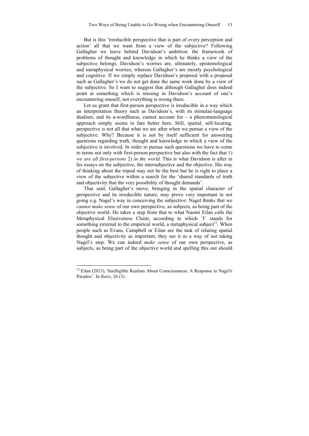But is this 'irreducible perspective that is part of every perception and action' all that we want from a view of the subjective? Following Gallagher we leave behind Davidson's ambition: the framework of problems of thought and knowledge in which he thinks a view of the subjective belongs. Davidson's worries are, ultimately, epistemological and metaphysical worries; whereas Gallagher's are mostly psychological and cognitive. If we simply replace Davidson's proposal with a proposal such as Gallagher's we do not get done the same work done by a view of the subjective. So I want to suggest that although Gallagher does indeed point at something which is missing in Davidson's account of one's encountering oneself, not everything is wrong there.

Let us grant that first-person perspective is irreducible in a way which an interpretation theory such as Davidson's, with its stimulae-language dualism, and its a-wordliness, cannot account for  $-$  a phenomenological approach simply seems to fare better here. Still, spatial, self-locating, perspective is not all that what we are after when we pursue a view of the subjective. Why? Because it is not by itself sufficient for answering questions regarding truth, thought and knowledge in which a view of the subjective is involved. In order to pursue such questions we have to come to terms not only with first-person perspective but also with the fact that 1) *we are all first-persons* 2) *in the world*. This is what Davidson is after in his essays on the subjective, the intersubjective and the objective. His way of thinking about the tripod may not be the best but he is right to place a view of the subjective within a search for the 'shared standards of truth and objectivity that the very possibility of thought demands'.

That said, Gallagher's move, bringing in the spatial character of perspective and its irreducible nature, may prove very important in not going e.g. Nagel's way in conceiving the subjective: Nagel thinks that we *cannot make sense* of our own perspective, as subjects, as being part of the objective world. He takes a step from that to what Naomi Eilan calls the Metaphysical Elusiveness Claim, according to which 'I' stands for something external to the empirical world, a metaphysical subject<sup>12</sup>. When people such as Evans, Campbell or Eilan see the task of relating spatial thought and objectivity as important, they see it as a way of not taking Nagel's step. We can indeed *make sense* of our own perspective, as subjects, as being part of the objective world and spelling this out should

 $12$  Eilan (2013), 'Intelligible Realism About Consciousness: A Response to Nagel's Paradox'. In *Ratio*, 26 (3).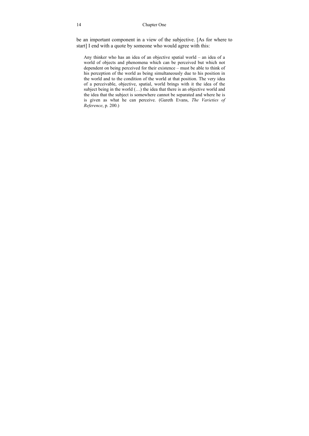be an important component in a view of the subjective. [As for where to start] I end with a quote by someone who would agree with this:

Any thinker who has an idea of an objective spatial world – an idea of a world of objects and phenomena which can be perceived but which not dependent on being perceived for their existence – must be able to think of his perception of the world as being simultaneously due to his position in the world and to the condition of the world at that position. The very idea of a perceivable, objective, spatial, world brings with it the idea of the subject being in the world  $(...)$  the idea that there is an objective world and the idea that the subject is somewhere cannot be separated and where he is is given as what he can perceive. (Gareth Evans, *The Varieties of Reference*, p. 200.)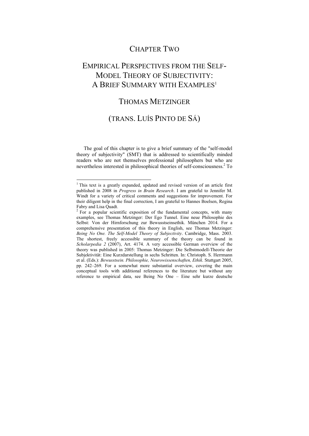### CHAPTER TWO

## EMPIRICAL PERSPECTIVES FROM THE SELF-MODEL THEORY OF SUBJECTIVITY: A BRIEF SUMMARY WITH EXAMPLES<sup>1</sup>

### THOMAS METZINGER

### (TRANS. LUÍS PINTO DE SÁ)

The goal of this chapter is to give a brief summary of the "self-model theory of subjectivity" (SMT) that is addressed to scientifically minded readers who are not themselves professional philosophers but who are nevertheless interested in philosophical theories of self-consciousness.<sup>2</sup> To

 1 This text is a greatly expanded, updated and revised version of an article first published in 2008 in *Progress in Brain Research*. I am grateful to Jennifer M. Windt for a variety of critical comments and suggestions for improvement. For their diligent help in the final correction, I am grateful to Hannes Boelsen, Regina

Fabry and Lisa Quadt.  $2^2$  For a popular scientific exposition of the fundamental concepts, with many examples, see Thomas Metzinger: Der Ego Tunnel. Eine neue Philosophie des Selbst: Von der Hirnforschung zur Bewusstseinsethik. München 2014. For a comprehensive presentation of this theory in English, see Thomas Metzinger: *Being No One. The Self-Model Theory of Subjectivity*. Cambridge, Mass. 2003. The shortest, freely accessible summary of the theory can be found in *Scholarpedia 2* (2007), Art. 4174. A very accessible German overview of the theory was published in 2005: Thomas Metzinger: Die Selbstmodell-Theorie der Subjektivität: Eine Kurzdarstellung in sechs Schritten. In: Christoph. S. Herrmann et al. (Eds.): *Bewusstsein. Philosophie, Neurowissenschaften, Ethik*. Stuttgart 2005, pp. 242–269. For a somewhat more substantial overview, covering the main conceptual tools with additional references to the literature but without any reference to empirical data, see Being No One – Eine sehr kurze deutsche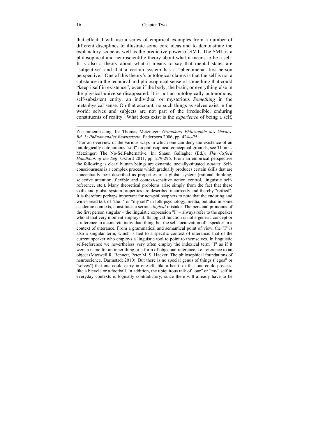that effect, I will use a series of empirical examples from a number of different disciplines to illustrate some core ideas and to demonstrate the explanatory scope as well as the predictive power of SMT. The SMT is a philosophical and neuroscientific theory about what it means to be a self. It is also a theory about what it means to say that mental states are "subjective" and that a certain system has a "phenomenal first-person perspective." One of this theory's ontological claims is that the self is not a substance in the technical and philosophical sense of something that could "keep itself in existence", even if the body, the brain, or everything else in the physical universe disappeared. It is not an ontologically autonomous, self-subsistent entity, an individual or mysterious *Something* in the metaphysical sense. On that account, no such things as selves exist in the world: selves and subjects are not part of the irreducible, enduring constituents of reality.<sup>3</sup> What does exist is the *experience* of being a self,

 $\overline{a}$ Zusammenfassung. In: Thomas Metzinger: *Grundkurs Philosophie des Geistes. Bd. 1: Phänomenales Bewusstsein.* Paderborn 2006, pp. 424-475.

 $3<sup>3</sup>$  For an overview of the various ways in which one can deny the existence of an ontologically autonomous "self" on philosophical-conceptual grounds, see Thomas Metzinger: The No-Self-alternative. In: Shaun Gallagher (Ed.): *The Oxford Handbook of the Self*. Oxford 2011, pp. 279-296. From an empirical perspective the following is clear: human beings are dynamic, socially-situated *systems.* Selfconsciousness is a complex process which gradually produces certain skills that are conceptually best described as properties of a global system (rational thinking, selective attention, flexible and context-sensitive action control, linguistic selfreference, etc.). Many theoretical problems arise simply from the fact that these skills and global system properties are described incorrectly and thereby "reified". It is therefore perhaps important for non-philosophers to note that the enduring and widespread talk of "the I" or "my self" in folk psychology, media, but also in some academic contexts, constitutes a serious *logical* mistake. The personal pronouns of the first person singular – the linguistic expression  $T - a$ lways refer to the speaker who at that very moment employs it. Its logical function is not a generic concept or a reference to a concrete individual thing, but the self-localization of a speaker in a context of utterance. From a grammatical and semantical point of view, the "I" is also a singular term, which is tied to a specific context of utterance: that of the current speaker who employs a linguistic tool to point to themselves. In linguistic self-reference we nevertheless very often employ the indexical term "I" as if it were a name for an inner thing or a form of objectual reference, i.e. reference to an object (Maxwell R. Bennett, Peter M. S. Hacker: The philosophical foundations of neuroscience. Darmstadt 2010). But there is no special genus of things ("egos" or "selves") that one could carry in oneself, like a heart, or that one could possess, like a bicycle or a football. In addition, the ubiquitous talk of "our" or "my" self in everyday contexts is logically contradictory, since there will already have to be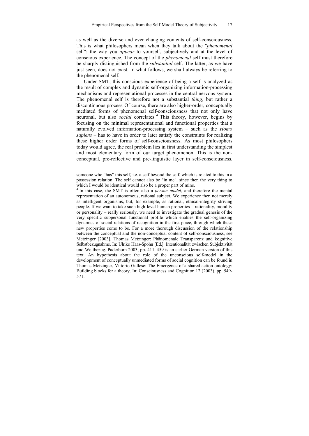as well as the diverse and ever changing contents of self-consciousness. This is what philosophers mean when they talk about the "*phenomenal*  self": the way you *appear* to yourself, subjectively and at the level of conscious experience. The concept of the *phenomenal* self must therefore be sharply distinguished from the *substantial* self. The latter, as we have just seen, does not exist. In what follows, we shall always be referring to the phenomenal self.

Under SMT, this conscious experience of being a self is analyzed as the result of complex and dynamic self-organizing information-processing mechanisms and representational processes in the central nervous system. The phenomenal self is therefore not a substantial *thing*, but rather a discontinuous process. Of course, there are also higher-order, conceptually mediated forms of phenomenal self-consciousness that not only have neuronal, but also *social* correlates. <sup>4</sup> This theory, however, begins by focusing on the minimal representational and functional properties that a naturally evolved information-processing system – such as the *Homo sapiens* – has to have in order to later satisfy the constraints for realizing these higher order forms of self-consciousness. As most philosophers today would agree, the real problem lies in first understanding the simplest and most elementary form of our target phenomenon. This is the nonconceptual, pre-reflective and pre-linguistic layer in self-consciousness.

someone who "has" this self, i.e. a self beyond the self, which is related to this in a possession relation. The self cannot also be "in me", since then the very thing to

which I would be identical would also be a proper part of mine.<br><sup>4</sup> In this case, the SMT is often also a *person model*, and therefore the mental representation of an autonomous, rational subject. We experience then not merely as intelligent organisms, but, for example, as rational, ethical-integrity striving people. If we want to take such high-level human properties – rationality, morality or personality – really seriously, we need to investigate the gradual genesis of the very specific subpersonal functional profile which enables the self-organizing dynamics of social relations of recognition in the first place, through which these new properties come to be. For a more thorough discussion of the relationship between the conceptual and the non-conceptual content of self-consciousness, see Metzinger [2003]. Thomas Metzinger: Phänomenale Transparenz und kognitive Selbstbezugnahme. In: Ulrike Haas-Spohn [Ed.]: Intentionalität zwischen Subjektivität und Weltbezug. Paderborn 2003, pp. 411–459 is an earlier German version of this text. An hypothesis about the role of the unconscious self-model in the development of conceptually unmediated forms of social cognition can be found in Thomas Metzinger, Vittorio Gallese: The Emergence of a shared action ontology: Building blocks for a theory. In: Consciousness and Cognition 12 (2003), pp. 549- 571.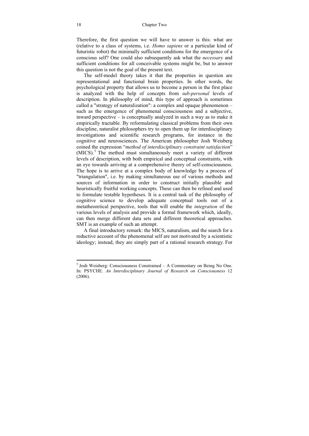Therefore, the first question we will have to answer is this: what are (relative to a class of systems, i.e. *Homo sapiens* or a particular kind of futuristic robot) the minimally sufficient conditions for the emergence of a conscious self? One could also subsequently ask what the *necessary* and sufficient conditions for all conceivable systems might be, but to answer this question is not the goal of the present text.

The self-model theory takes it that the properties in question are representational and functional brain properties. In other words, the psychological property that allows us to become a person in the first place is analyzed with the help of concepts from *sub-personal* levels of description. In philosophy of mind, this type of approach is sometimes called a "strategy of naturalization": a complex and opaque phenomenon – such as the emergence of phenomenal consciousness and a subjective, inward perspective – is conceptually analyzed in such a way as to make it empirically tractable. By reformulating classical problems from their own discipline, naturalist philosophers try to open them up for interdisciplinary investigations and scientific research programs, for instance in the cognitive and neurosciences. The American philosopher Josh Weisberg coined the expression "*method of interdisciplinary constraint satisfaction*" (MICS).<sup>5</sup> The method must simultaneously meet a variety of different levels of description, with both empirical and conceptual constraints, with an eye towards arriving at a comprehensive theory of self-consciousness. The hope is to arrive at a complex body of knowledge by a process of "triangulation", i.e. by making simultaneous use of various methods and sources of information in order to construct initially plausible and heuristically fruitful working concepts. These can then be refined and used to formulate testable hypotheses. It is a central task of the philosophy of cognitive science to develop adequate conceptual tools out of a metatheoretical perspective, tools that will enable the *integration* of the various levels of analysis and provide a formal framework which, ideally, can then merge different data sets and different theoretical approaches. SMT is an example of such an attempt.

A final introductory remark: the MICS, naturalism, and the search for a reductive account of the phenomenal self are not motivated by a scientistic ideology; instead, they are simply part of a rational research strategy. For

 5 Josh Weisberg: Consciousness Constrained – A Commentary on Being No One. In: PSYCHE. *An Interdisciplinary Journal of Research on Consciousness* 12 (2006).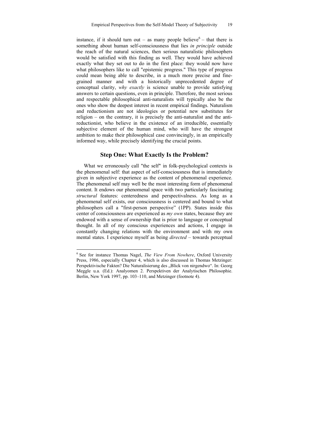instance, if it should turn out – as many people believe<sup>6</sup> – that there is something about human self-consciousness that lies *in principle* outside the reach of the natural sciences, then serious naturalistic philosophers would be satisfied with this finding as well. They would have achieved exactly what they set out to do in the first place: they would now have what philosophers like to call "epistemic progress." This type of progress could mean being able to describe, in a much more precise and finegrained manner and with a historically unprecedented degree of conceptual clarity, *why exactly* is science unable to provide satisfying answers to certain questions, even in principle. Therefore, the most serious and respectable philosophical anti-naturalists will typically also be the ones who show the deepest interest in recent empirical findings. Naturalism and reductionism are not ideologies or potential new substitutes for religion – on the contrary, it is precisely the anti-naturalist and the antireductionist, who believe in the existence of an irreducible, essentially subjective element of the human mind, who will have the strongest ambition to make their philosophical case convincingly, in an empirically informed way, while precisely identifying the crucial points.

#### **Step One: What Exactly Is the Problem?**

What we erroneously call "the self" in folk-psychological contexts is the phenomenal self: that aspect of self-consciousness that is immediately given in subjective experience as the content of phenomenal experience. The phenomenal self may well be the most interesting form of phenomenal content. It endows our phenomenal space with two particularly fascinating *structural* features: centeredness and perspectivalness. As long as a phenomenal self exists, our consciousness is centered and bound to what philosophers call a "first-person perspective" (1PP). States inside this center of consciousness are experienced as *my own* states, because they are endowed with a sense of ownership that is prior to language or conceptual thought. In all of my conscious experiences and actions, I engage in constantly changing relations with the environment and with my own mental states. I experience myself as being *directed* – towards perceptual

<sup>6</sup> See for instance Thomas Nagel, *The View From Nowhere*, Oxford University Press, 1986, especially Chapter 4, which is also discussed in Thomas Metzinger: Perspektivische Fakten? Die Naturalisierung des "Blick von nirgendwo". In: Georg Meggle u.a. (Ed.): Analyomen 2. Perspektiven der Analytischen Philosophie. Berlin, New York 1997, pp. 103–110, and Metzinger (footnote 4).